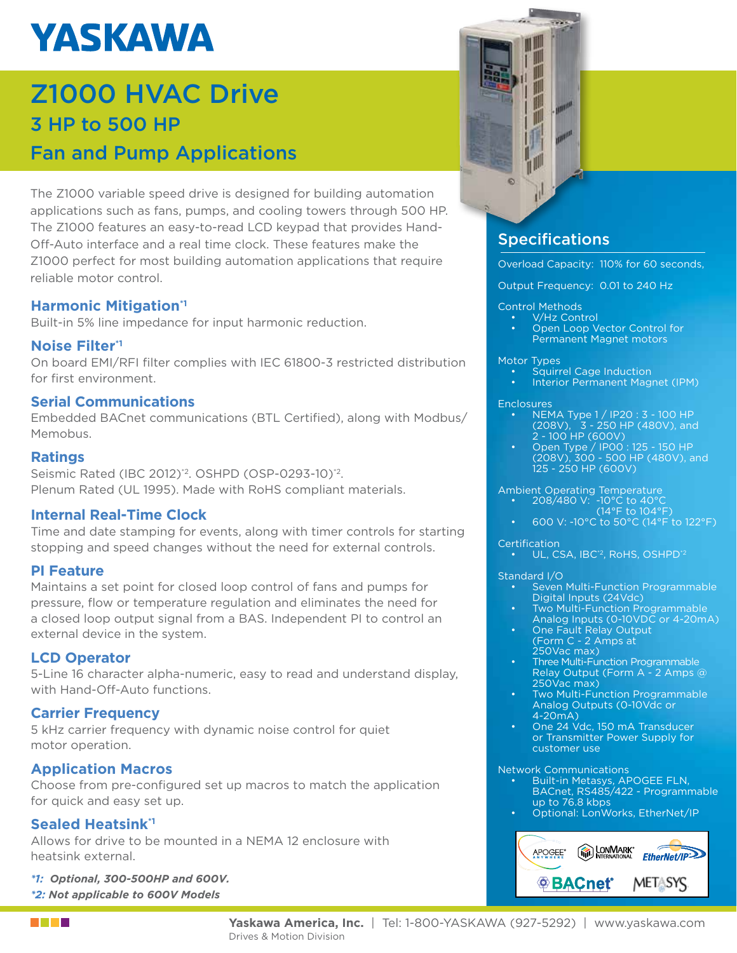# **YASKAWA**

### Z1000 HVAC Drive 3 HP to 500 HP Fan and Pump Applications

The Z1000 variable speed drive is designed for building automation applications such as fans, pumps, and cooling towers through 500 HP. The Z1000 features an easy-to-read LCD keypad that provides Hand-Off-Auto interface and a real time clock. These features make the Z1000 perfect for most building automation applications that require reliable motor control.

#### **Harmonic Mitigation**<sup>1</sup>

Built-in 5% line impedance for input harmonic reduction.

#### **Noise Filter\*1**

On board EMI/RFI filter complies with IEC 61800-3 restricted distribution for first environment.

#### **Serial Communications**

Embedded BACnet communications (BTL Certified), along with Modbus/ Memobus.

#### **Ratings**

Seismic Rated (IBC 2012)<sup>'2</sup>. OSHPD (OSP-0293-10)<sup>'2</sup>. Plenum Rated (UL 1995). Made with RoHS compliant materials.

#### **Internal Real-Time Clock**

Time and date stamping for events, along with timer controls for starting stopping and speed changes without the need for external controls.

#### **PI Feature**

Maintains a set point for closed loop control of fans and pumps for pressure, flow or temperature regulation and eliminates the need for a closed loop output signal from a BAS. Independent PI to control an external device in the system.

#### **LCD Operator**

5-Line 16 character alpha-numeric, easy to read and understand display, with Hand-Off-Auto functions.

#### **Carrier Frequency**

5 kHz carrier frequency with dynamic noise control for quiet motor operation.

#### **Application Macros**

Choose from pre-configured set up macros to match the application for quick and easy set up.

#### **Sealed Heatsink\*1**

Allows for drive to be mounted in a NEMA 12 enclosure with heatsink external.

*\*1: Optional, 300-500HP and 600V. \*2: Not applicable to 600V Models*



#### **Specifications**

Overload Capacity: 110% for 60 seconds,

Output Frequency: 0.01 to 240 Hz

#### Control Methods

- V/Hz Control
- Open Loop Vector Control for Permanent Magnet motors

#### Motor Types

- Squirrel Cage Induction
- Interior Permanent Magnet (IPM)

#### **Enclosures**

- NEMA Type 1 / IP20 : 3 100 HP (208V), 3 - 250 HP (480V), and 2 - 100 HP (600V)
- Open Type / IP00 : 125 150 HP (208V), 300 - 500 HP (480V), and 125 - 250 HP (600V)

#### Ambient Operating Temperature

- 208/480 V: -10°C to 40°C
- $(14^{\circ}F \text{ to } 104^{\circ}F)$
- 600 V: -10°C to 50°C (14°F to 122°F)

#### **Certification**

• UL, CSA, IBC<sup>\*2</sup>, RoHS, OSHPD<sup>\*2</sup>

#### Standard I/O

- Seven Multi-Function Programmable Digital Inputs (24Vdc)
- **Two Multi-Function Programmable** Analog Inputs (0-10VDC or 4-20mA)
- One Fault Relay Output (Form C - 2 Amps at 250Vac max)
- Three Multi-Function Programmable Relay Output (Form A - 2 Amps @ 250Vac max)
- Two Multi-Function Programmable Analog Outputs (0-10Vdc or 4-20mA)
- One 24 Vdc, 150 mA Transducer or Transmitter Power Supply for customer use

#### Network Communications

- Built-in Metasys, APOGEE FLN, BACnet, RS485/422 - Programmable up to 76.8 kbps
- Optional: LonWorks, EtherNet/IP